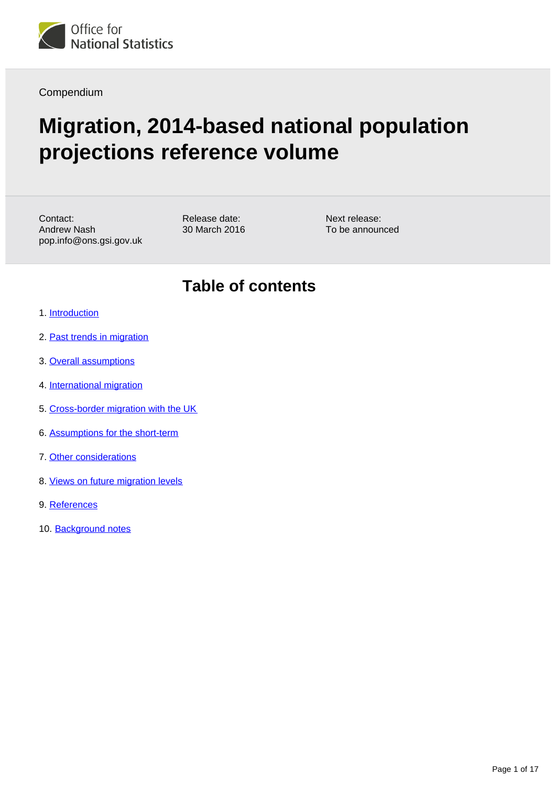

Compendium

# **Migration, 2014-based national population projections reference volume**

Contact: Andrew Nash pop.info@ons.gsi.gov.uk Release date: 30 March 2016 Next release: To be announced

## **Table of contents**

- 1. [Introduction](#page-1-0)
- 2. [Past trends in migration](#page-1-1)
- 3. [Overall assumptions](#page-2-0)
- 4. [International migration](#page-2-1)
- 5. [Cross-border migration with the UK](#page-6-0)
- 6. [Assumptions for the short-term](#page-10-0)
- 7. [Other considerations](#page-11-0)
- 8. [Views on future migration levels](#page-14-0)
- 9. References
- 10. Background notes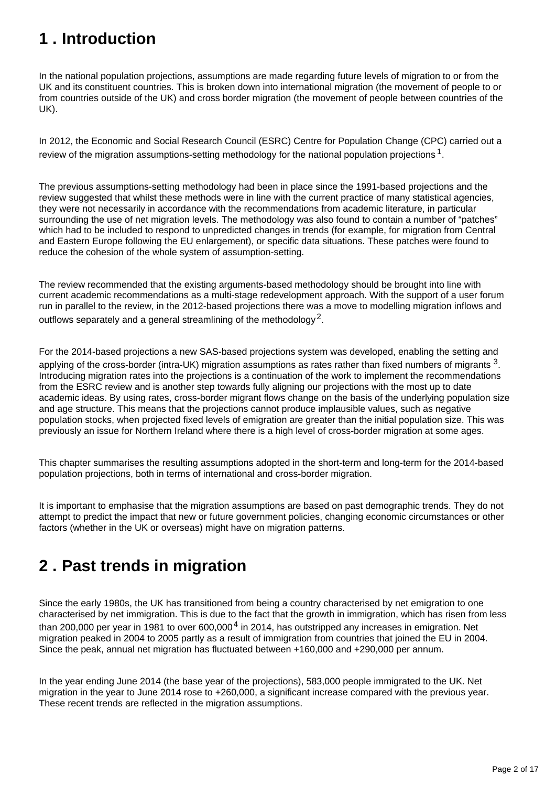## <span id="page-1-0"></span>**1 . Introduction**

In the national population projections, assumptions are made regarding future levels of migration to or from the UK and its constituent countries. This is broken down into international migration (the movement of people to or from countries outside of the UK) and cross border migration (the movement of people between countries of the UK).

In 2012, the Economic and Social Research Council (ESRC) Centre for Population Change (CPC) carried out a review of the migration assumptions-setting methodology for the national population projections  ${}^{1}$ .

The previous assumptions-setting methodology had been in place since the 1991-based projections and the review suggested that whilst these methods were in line with the current practice of many statistical agencies, they were not necessarily in accordance with the recommendations from academic literature, in particular surrounding the use of net migration levels. The methodology was also found to contain a number of "patches" which had to be included to respond to unpredicted changes in trends (for example, for migration from Central and Eastern Europe following the EU enlargement), or specific data situations. These patches were found to reduce the cohesion of the whole system of assumption-setting.

The review recommended that the existing arguments-based methodology should be brought into line with current academic recommendations as a multi-stage redevelopment approach. With the support of a user forum run in parallel to the review, in the 2012-based projections there was a move to modelling migration inflows and outflows separately and a general streamlining of the methodology<sup>2</sup>.

For the 2014-based projections a new SAS-based projections system was developed, enabling the setting and applying of the cross-border (intra-UK) migration assumptions as rates rather than fixed numbers of migrants  $^3$ . Introducing migration rates into the projections is a continuation of the work to implement the recommendations from the ESRC review and is another step towards fully aligning our projections with the most up to date academic ideas. By using rates, cross-border migrant flows change on the basis of the underlying population size and age structure. This means that the projections cannot produce implausible values, such as negative population stocks, when projected fixed levels of emigration are greater than the initial population size. This was previously an issue for Northern Ireland where there is a high level of cross-border migration at some ages.

This chapter summarises the resulting assumptions adopted in the short-term and long-term for the 2014-based population projections, both in terms of international and cross-border migration.

It is important to emphasise that the migration assumptions are based on past demographic trends. They do not attempt to predict the impact that new or future government policies, changing economic circumstances or other factors (whether in the UK or overseas) might have on migration patterns.

## <span id="page-1-1"></span>**2 . Past trends in migration**

Since the early 1980s, the UK has transitioned from being a country characterised by net emigration to one characterised by net immigration. This is due to the fact that the growth in immigration, which has risen from less than 200,000 per year in 1981 to over  $600,000<sup>4</sup>$  in 2014, has outstripped any increases in emigration. Net migration peaked in 2004 to 2005 partly as a result of immigration from countries that joined the EU in 2004. Since the peak, annual net migration has fluctuated between +160,000 and +290,000 per annum.

In the year ending June 2014 (the base year of the projections), 583,000 people immigrated to the UK. Net migration in the year to June 2014 rose to +260,000, a significant increase compared with the previous year. These recent trends are reflected in the migration assumptions.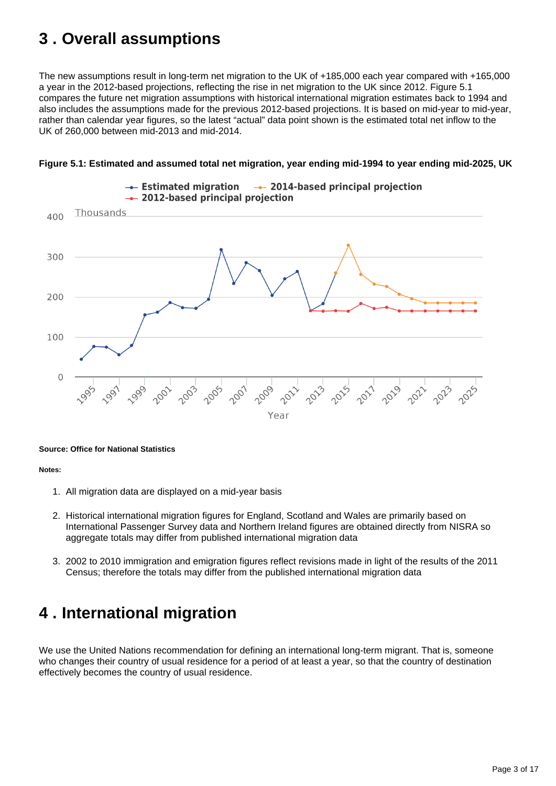## <span id="page-2-0"></span>**3 . Overall assumptions**

The new assumptions result in long-term net migration to the UK of +185,000 each year compared with +165,000 a year in the 2012-based projections, reflecting the rise in net migration to the UK since 2012. Figure 5.1 compares the future net migration assumptions with historical international migration estimates back to 1994 and also includes the assumptions made for the previous 2012-based projections. It is based on mid-year to mid-year, rather than calendar year figures, so the latest "actual" data point shown is the estimated total net inflow to the UK of 260,000 between mid-2013 and mid-2014.





#### **Source: Office for National Statistics**

**Notes:**

- 1. All migration data are displayed on a mid-year basis
- 2. Historical international migration figures for England, Scotland and Wales are primarily based on International Passenger Survey data and Northern Ireland figures are obtained directly from NISRA so aggregate totals may differ from published international migration data
- 3. 2002 to 2010 immigration and emigration figures reflect revisions made in light of the results of the 2011 Census; therefore the totals may differ from the published international migration data

## <span id="page-2-1"></span>**4 . International migration**

We use the United Nations recommendation for defining an international long-term migrant. That is, someone who changes their country of usual residence for a period of at least a year, so that the country of destination effectively becomes the country of usual residence.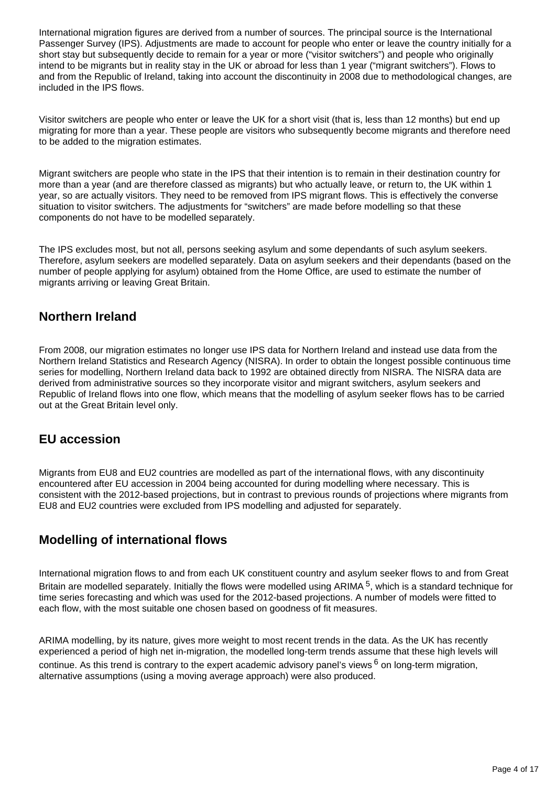International migration figures are derived from a number of sources. The principal source is the International Passenger Survey (IPS). Adjustments are made to account for people who enter or leave the country initially for a short stay but subsequently decide to remain for a year or more ("visitor switchers") and people who originally intend to be migrants but in reality stay in the UK or abroad for less than 1 year ("migrant switchers"). Flows to and from the Republic of Ireland, taking into account the discontinuity in 2008 due to methodological changes, are included in the IPS flows.

Visitor switchers are people who enter or leave the UK for a short visit (that is, less than 12 months) but end up migrating for more than a year. These people are visitors who subsequently become migrants and therefore need to be added to the migration estimates.

Migrant switchers are people who state in the IPS that their intention is to remain in their destination country for more than a year (and are therefore classed as migrants) but who actually leave, or return to, the UK within 1 year, so are actually visitors. They need to be removed from IPS migrant flows. This is effectively the converse situation to visitor switchers. The adjustments for "switchers" are made before modelling so that these components do not have to be modelled separately.

The IPS excludes most, but not all, persons seeking asylum and some dependants of such asylum seekers. Therefore, asylum seekers are modelled separately. Data on asylum seekers and their dependants (based on the number of people applying for asylum) obtained from the Home Office, are used to estimate the number of migrants arriving or leaving Great Britain.

### **Northern Ireland**

From 2008, our migration estimates no longer use IPS data for Northern Ireland and instead use data from the Northern Ireland Statistics and Research Agency (NISRA). In order to obtain the longest possible continuous time series for modelling, Northern Ireland data back to 1992 are obtained directly from NISRA. The NISRA data are derived from administrative sources so they incorporate visitor and migrant switchers, asylum seekers and Republic of Ireland flows into one flow, which means that the modelling of asylum seeker flows has to be carried out at the Great Britain level only.

### **EU accession**

Migrants from EU8 and EU2 countries are modelled as part of the international flows, with any discontinuity encountered after EU accession in 2004 being accounted for during modelling where necessary. This is consistent with the 2012-based projections, but in contrast to previous rounds of projections where migrants from EU8 and EU2 countries were excluded from IPS modelling and adjusted for separately.

### **Modelling of international flows**

International migration flows to and from each UK constituent country and asylum seeker flows to and from Great Britain are modelled separately. Initially the flows were modelled using ARIMA<sup>5</sup>, which is a standard technique for time series forecasting and which was used for the 2012-based projections. A number of models were fitted to each flow, with the most suitable one chosen based on goodness of fit measures.

ARIMA modelling, by its nature, gives more weight to most recent trends in the data. As the UK has recently experienced a period of high net in-migration, the modelled long-term trends assume that these high levels will continue. As this trend is contrary to the expert academic advisory panel's views  $6$  on long-term migration, alternative assumptions (using a moving average approach) were also produced.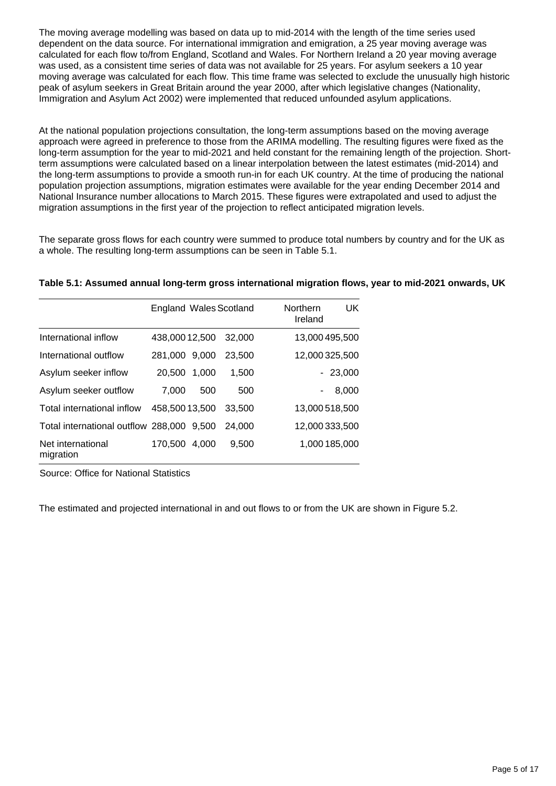The moving average modelling was based on data up to mid-2014 with the length of the time series used dependent on the data source. For international immigration and emigration, a 25 year moving average was calculated for each flow to/from England, Scotland and Wales. For Northern Ireland a 20 year moving average was used, as a consistent time series of data was not available for 25 years. For asylum seekers a 10 year moving average was calculated for each flow. This time frame was selected to exclude the unusually high historic peak of asylum seekers in Great Britain around the year 2000, after which legislative changes (Nationality, Immigration and Asylum Act 2002) were implemented that reduced unfounded asylum applications.

At the national population projections consultation, the long-term assumptions based on the moving average approach were agreed in preference to those from the ARIMA modelling. The resulting figures were fixed as the long-term assumption for the year to mid-2021 and held constant for the remaining length of the projection. Shortterm assumptions were calculated based on a linear interpolation between the latest estimates (mid-2014) and the long-term assumptions to provide a smooth run-in for each UK country. At the time of producing the national population projection assumptions, migration estimates were available for the year ending December 2014 and National Insurance number allocations to March 2015. These figures were extrapolated and used to adjust the migration assumptions in the first year of the projection to reflect anticipated migration levels.

The separate gross flows for each country were summed to produce total numbers by country and for the UK as a whole. The resulting long-term assumptions can be seen in Table 5.1.

|                                           | <b>England Wales Scotland</b> |       |        | <b>UK</b><br><b>Northern</b><br>Ireland |
|-------------------------------------------|-------------------------------|-------|--------|-----------------------------------------|
| International inflow                      | 438,00012,500                 |       | 32,000 | 13,000 495,500                          |
| International outflow                     | 281,000 9,000                 |       | 23.500 | 12,000 325,500                          |
| Asylum seeker inflow                      | 20.500                        | 1,000 | 1,500  | $-23,000$                               |
| Asylum seeker outflow                     | 7.000                         | 500   | 500    | 8,000                                   |
| Total international inflow                | 458,50013,500                 |       | 33,500 | 13,000 518,500                          |
| Total international outflow 288,000 9,500 |                               |       | 24,000 | 12,000 333,500                          |
| Net international<br>migration            | 170,500                       | 4,000 | 9,500  | 1,000 185,000                           |

Source: Office for National Statistics

The estimated and projected international in and out flows to or from the UK are shown in Figure 5.2.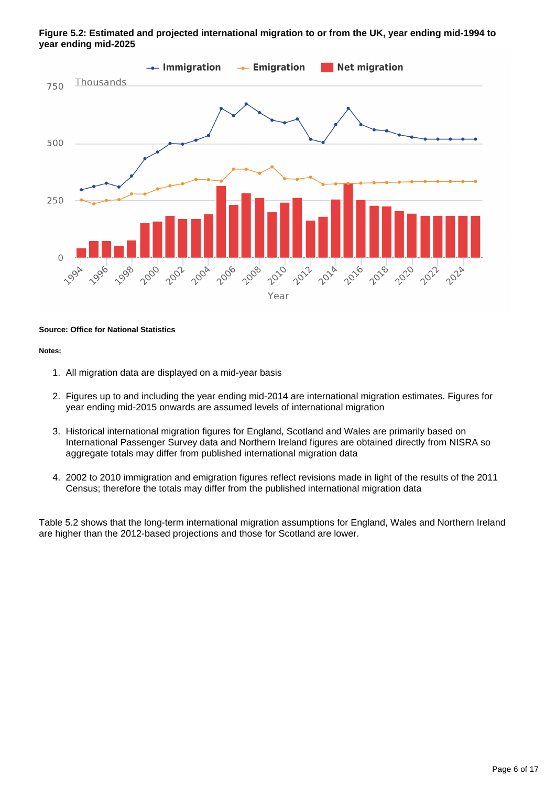#### **Figure 5.2: Estimated and projected international migration to or from the UK, year ending mid-1994 to year ending mid-2025**



#### **Source: Office for National Statistics**

#### **Notes:**

- 1. All migration data are displayed on a mid-year basis
- 2. Figures up to and including the year ending mid-2014 are international migration estimates. Figures for year ending mid-2015 onwards are assumed levels of international migration
- 3. Historical international migration figures for England, Scotland and Wales are primarily based on International Passenger Survey data and Northern Ireland figures are obtained directly from NISRA so aggregate totals may differ from published international migration data
- 4. 2002 to 2010 immigration and emigration figures reflect revisions made in light of the results of the 2011 Census; therefore the totals may differ from the published international migration data

Table 5.2 shows that the long-term international migration assumptions for England, Wales and Northern Ireland are higher than the 2012-based projections and those for Scotland are lower.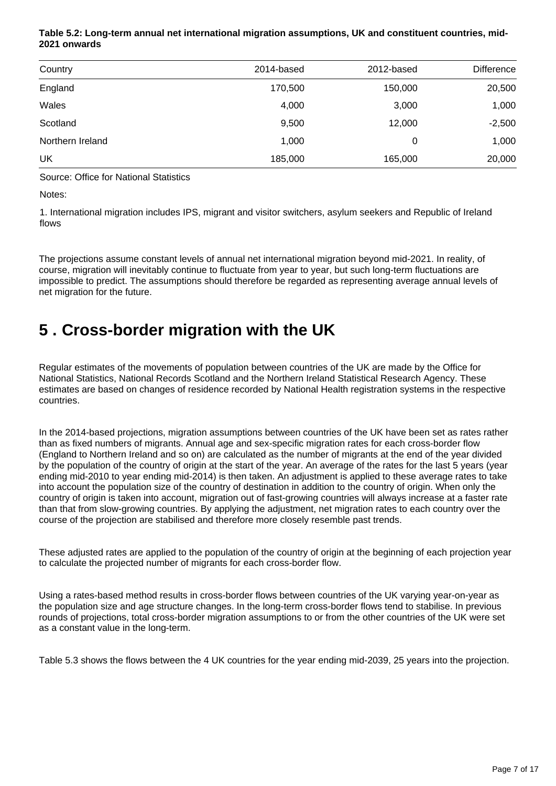#### **Table 5.2: Long-term annual net international migration assumptions, UK and constituent countries, mid-2021 onwards**

| Country          | 2014-based | 2012-based | <b>Difference</b> |
|------------------|------------|------------|-------------------|
| England          | 170,500    | 150,000    | 20,500            |
| Wales            | 4,000      | 3,000      | 1,000             |
| Scotland         | 9,500      | 12,000     | $-2,500$          |
| Northern Ireland | 1,000      | 0          | 1,000             |
| UK               | 185,000    | 165,000    | 20,000            |

Source: Office for National Statistics

Notes:

1. International migration includes IPS, migrant and visitor switchers, asylum seekers and Republic of Ireland flows

The projections assume constant levels of annual net international migration beyond mid-2021. In reality, of course, migration will inevitably continue to fluctuate from year to year, but such long-term fluctuations are impossible to predict. The assumptions should therefore be regarded as representing average annual levels of net migration for the future.

## <span id="page-6-0"></span>**5 . Cross-border migration with the UK**

Regular estimates of the movements of population between countries of the UK are made by the Office for National Statistics, National Records Scotland and the Northern Ireland Statistical Research Agency. These estimates are based on changes of residence recorded by National Health registration systems in the respective countries.

In the 2014-based projections, migration assumptions between countries of the UK have been set as rates rather than as fixed numbers of migrants. Annual age and sex-specific migration rates for each cross-border flow (England to Northern Ireland and so on) are calculated as the number of migrants at the end of the year divided by the population of the country of origin at the start of the year. An average of the rates for the last 5 years (year ending mid-2010 to year ending mid-2014) is then taken. An adjustment is applied to these average rates to take into account the population size of the country of destination in addition to the country of origin. When only the country of origin is taken into account, migration out of fast-growing countries will always increase at a faster rate than that from slow-growing countries. By applying the adjustment, net migration rates to each country over the course of the projection are stabilised and therefore more closely resemble past trends.

These adjusted rates are applied to the population of the country of origin at the beginning of each projection year to calculate the projected number of migrants for each cross-border flow.

Using a rates-based method results in cross-border flows between countries of the UK varying year-on-year as the population size and age structure changes. In the long-term cross-border flows tend to stabilise. In previous rounds of projections, total cross-border migration assumptions to or from the other countries of the UK were set as a constant value in the long-term.

Table 5.3 shows the flows between the 4 UK countries for the year ending mid-2039, 25 years into the projection.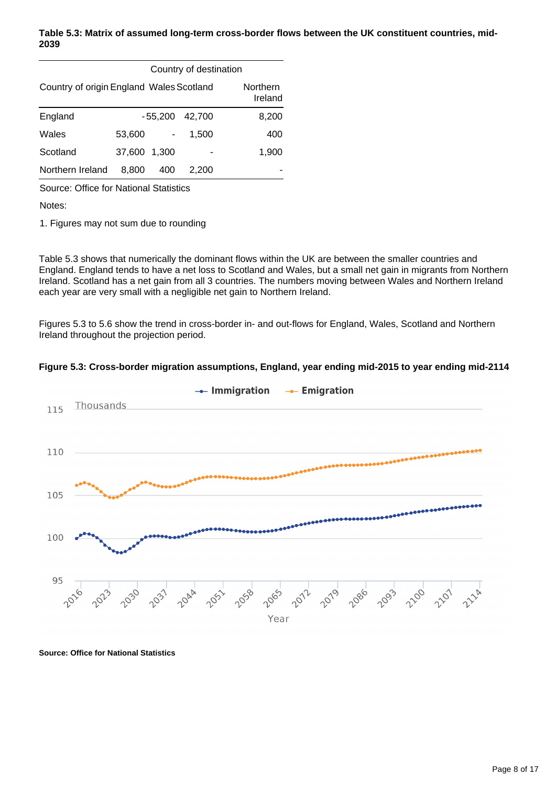#### **Table 5.3: Matrix of assumed long-term cross-border flows between the UK constituent countries, mid-2039**

|                                          | Country of destination |           |        |                     |
|------------------------------------------|------------------------|-----------|--------|---------------------|
| Country of origin England Wales Scotland |                        |           |        | Northern<br>Ireland |
| England                                  |                        | $-55,200$ | 42.700 | 8,200               |
| Wales                                    | 53,600                 |           | 1.500  | 400                 |
| Scotland                                 | 37.600                 | 1.300     |        | 1,900               |
| Northern Ireland                         | 8.800                  | 400       | 2.200  |                     |

Source: Office for National Statistics

Notes:

1. Figures may not sum due to rounding

Table 5.3 shows that numerically the dominant flows within the UK are between the smaller countries and England. England tends to have a net loss to Scotland and Wales, but a small net gain in migrants from Northern Ireland. Scotland has a net gain from all 3 countries. The numbers moving between Wales and Northern Ireland each year are very small with a negligible net gain to Northern Ireland.

Figures 5.3 to 5.6 show the trend in cross-border in- and out-flows for England, Wales, Scotland and Northern Ireland throughout the projection period.



#### **Figure 5.3: Cross-border migration assumptions, England, year ending mid-2015 to year ending mid-2114**

**Source: Office for National Statistics**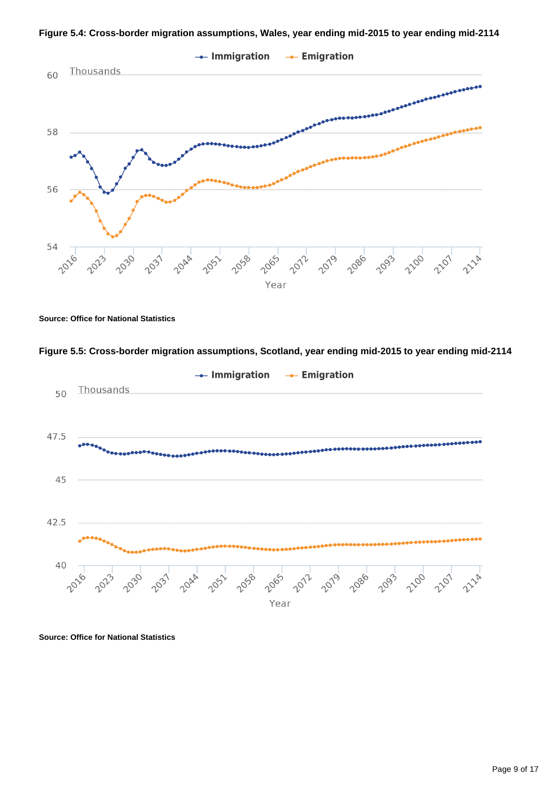



**Source: Office for National Statistics**





**Source: Office for National Statistics**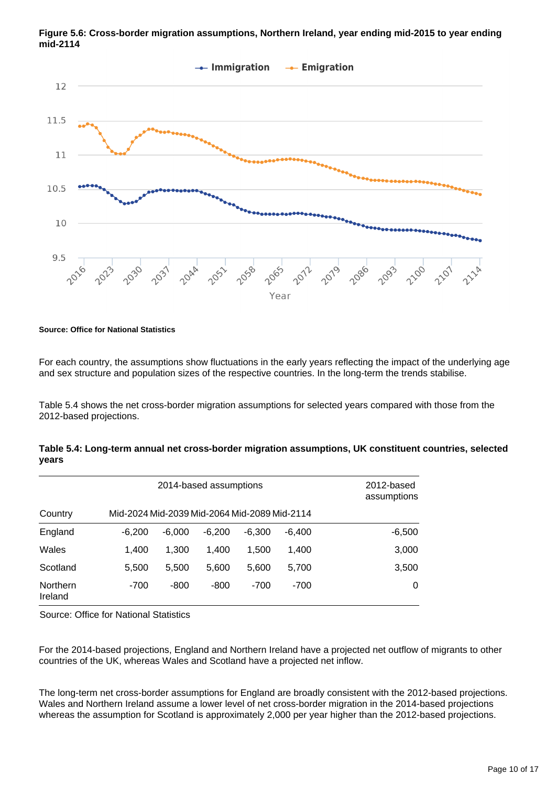

**Figure 5.6: Cross-border migration assumptions, Northern Ireland, year ending mid-2015 to year ending mid-2114**

#### **Source: Office for National Statistics**

For each country, the assumptions show fluctuations in the early years reflecting the impact of the underlying age and sex structure and population sizes of the respective countries. In the long-term the trends stabilise.

Table 5.4 shows the net cross-border migration assumptions for selected years compared with those from the 2012-based projections.

| Table 5.4: Long-term annual net cross-border migration assumptions, UK constituent countries, selected |  |  |
|--------------------------------------------------------------------------------------------------------|--|--|
| years                                                                                                  |  |  |

| 2014-based assumptions |                                              |          |          |          | 2012-based<br>assumptions |          |
|------------------------|----------------------------------------------|----------|----------|----------|---------------------------|----------|
| Country                | Mid-2024 Mid-2039 Mid-2064 Mid-2089 Mid-2114 |          |          |          |                           |          |
| England                | $-6.200$                                     | $-6.000$ | $-6.200$ | $-6.300$ | $-6.400$                  | $-6,500$ |
| Wales                  | 1.400                                        | 1.300    | 1.400    | 1.500    | 1,400                     | 3,000    |
| Scotland               | 5.500                                        | 5.500    | 5,600    | 5,600    | 5,700                     | 3,500    |
| Northern<br>Ireland    | $-700$                                       | $-800$   | $-800$   | $-700$   | $-700$                    | 0        |

Source: Office for National Statistics

For the 2014-based projections, England and Northern Ireland have a projected net outflow of migrants to other countries of the UK, whereas Wales and Scotland have a projected net inflow.

The long-term net cross-border assumptions for England are broadly consistent with the 2012-based projections. Wales and Northern Ireland assume a lower level of net cross-border migration in the 2014-based projections whereas the assumption for Scotland is approximately 2,000 per year higher than the 2012-based projections.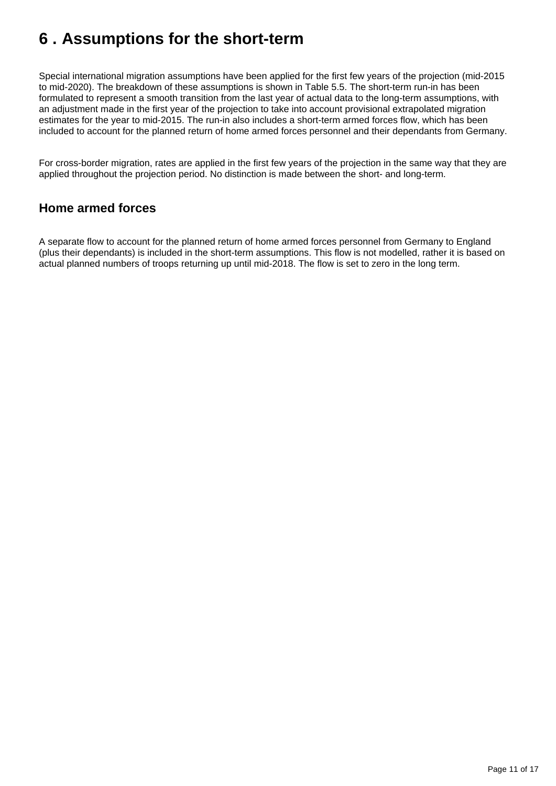## <span id="page-10-0"></span>**6 . Assumptions for the short-term**

Special international migration assumptions have been applied for the first few years of the projection (mid-2015 to mid-2020). The breakdown of these assumptions is shown in Table 5.5. The short-term run-in has been formulated to represent a smooth transition from the last year of actual data to the long-term assumptions, with an adjustment made in the first year of the projection to take into account provisional extrapolated migration estimates for the year to mid-2015. The run-in also includes a short-term armed forces flow, which has been included to account for the planned return of home armed forces personnel and their dependants from Germany.

For cross-border migration, rates are applied in the first few years of the projection in the same way that they are applied throughout the projection period. No distinction is made between the short- and long-term.

### **Home armed forces**

A separate flow to account for the planned return of home armed forces personnel from Germany to England (plus their dependants) is included in the short-term assumptions. This flow is not modelled, rather it is based on actual planned numbers of troops returning up until mid-2018. The flow is set to zero in the long term.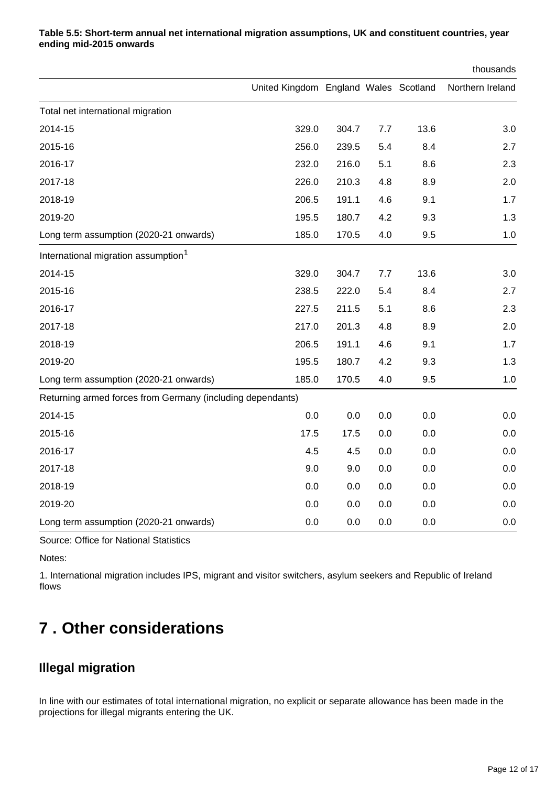|                                                            |                                       |       |     |      | thousands        |
|------------------------------------------------------------|---------------------------------------|-------|-----|------|------------------|
|                                                            | United Kingdom England Wales Scotland |       |     |      | Northern Ireland |
| Total net international migration                          |                                       |       |     |      |                  |
| 2014-15                                                    | 329.0                                 | 304.7 | 7.7 | 13.6 | 3.0              |
| 2015-16                                                    | 256.0                                 | 239.5 | 5.4 | 8.4  | 2.7              |
| 2016-17                                                    | 232.0                                 | 216.0 | 5.1 | 8.6  | 2.3              |
| 2017-18                                                    | 226.0                                 | 210.3 | 4.8 | 8.9  | 2.0              |
| 2018-19                                                    | 206.5                                 | 191.1 | 4.6 | 9.1  | 1.7              |
| 2019-20                                                    | 195.5                                 | 180.7 | 4.2 | 9.3  | 1.3              |
| Long term assumption (2020-21 onwards)                     | 185.0                                 | 170.5 | 4.0 | 9.5  | 1.0              |
| International migration assumption <sup>1</sup>            |                                       |       |     |      |                  |
| 2014-15                                                    | 329.0                                 | 304.7 | 7.7 | 13.6 | 3.0              |
| 2015-16                                                    | 238.5                                 | 222.0 | 5.4 | 8.4  | 2.7              |
| 2016-17                                                    | 227.5                                 | 211.5 | 5.1 | 8.6  | 2.3              |
| 2017-18                                                    | 217.0                                 | 201.3 | 4.8 | 8.9  | 2.0              |
| 2018-19                                                    | 206.5                                 | 191.1 | 4.6 | 9.1  | 1.7              |
| 2019-20                                                    | 195.5                                 | 180.7 | 4.2 | 9.3  | 1.3              |
| Long term assumption (2020-21 onwards)                     | 185.0                                 | 170.5 | 4.0 | 9.5  | 1.0              |
| Returning armed forces from Germany (including dependants) |                                       |       |     |      |                  |
| 2014-15                                                    | 0.0                                   | 0.0   | 0.0 | 0.0  | 0.0              |
| 2015-16                                                    | 17.5                                  | 17.5  | 0.0 | 0.0  | 0.0              |
| 2016-17                                                    | 4.5                                   | 4.5   | 0.0 | 0.0  | 0.0              |
| 2017-18                                                    | 9.0                                   | 9.0   | 0.0 | 0.0  | 0.0              |
| 2018-19                                                    | 0.0                                   | 0.0   | 0.0 | 0.0  | 0.0              |
| 2019-20                                                    | 0.0                                   | 0.0   | 0.0 | 0.0  | 0.0              |
| Long term assumption (2020-21 onwards)                     | 0.0                                   | 0.0   | 0.0 | 0.0  | 0.0              |

#### **Table 5.5: Short-term annual net international migration assumptions, UK and constituent countries, year ending mid-2015 onwards**

Source: Office for National Statistics

Notes:

1. International migration includes IPS, migrant and visitor switchers, asylum seekers and Republic of Ireland flows

## <span id="page-11-0"></span>**7 . Other considerations**

### **Illegal migration**

In line with our estimates of total international migration, no explicit or separate allowance has been made in the projections for illegal migrants entering the UK.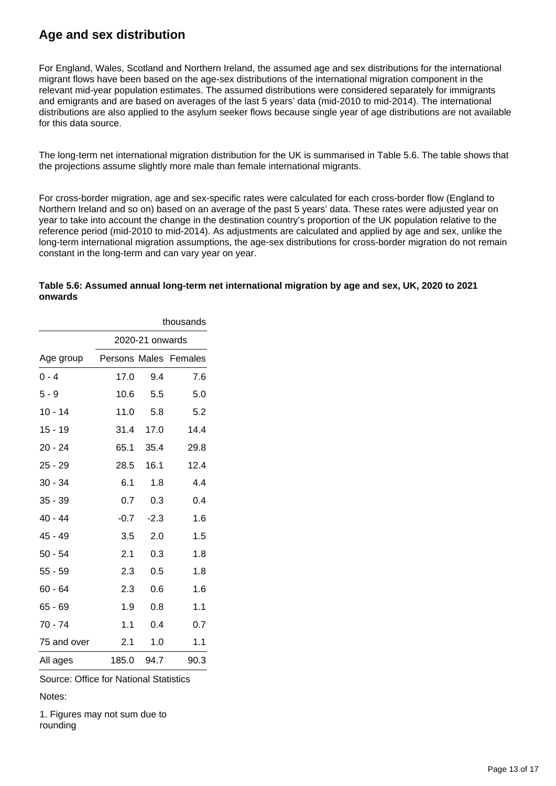### **Age and sex distribution**

For England, Wales, Scotland and Northern Ireland, the assumed age and sex distributions for the international migrant flows have been based on the age-sex distributions of the international migration component in the relevant mid-year population estimates. The assumed distributions were considered separately for immigrants and emigrants and are based on averages of the last 5 years' data (mid-2010 to mid-2014). The international distributions are also applied to the asylum seeker flows because single year of age distributions are not available for this data source.

The long-term net international migration distribution for the UK is summarised in Table 5.6. The table shows that the projections assume slightly more male than female international migrants.

For cross-border migration, age and sex-specific rates were calculated for each cross-border flow (England to Northern Ireland and so on) based on an average of the past 5 years' data. These rates were adjusted year on year to take into account the change in the destination country's proportion of the UK population relative to the reference period (mid-2010 to mid-2014). As adjustments are calculated and applied by age and sex, unlike the long-term international migration assumptions, the age-sex distributions for cross-border migration do not remain constant in the long-term and can vary year on year.

#### **Table 5.6: Assumed annual long-term net international migration by age and sex, UK, 2020 to 2021 onwards**

|             | thousands |                 |                       |  |  |  |
|-------------|-----------|-----------------|-----------------------|--|--|--|
|             |           | 2020-21 onwards |                       |  |  |  |
| Age group   |           |                 | Persons Males Females |  |  |  |
| $0 - 4$     | 17.0      | 9.4             | 7.6                   |  |  |  |
| $5 - 9$     | 10.6      | 5.5             | 5.0                   |  |  |  |
| $10 - 14$   | 11.0      | 5.8             | 5.2                   |  |  |  |
| 15 - 19     | 31.4      | 17.0            | 14.4                  |  |  |  |
| 20 - 24     | 65.1      | 35.4            | 29.8                  |  |  |  |
| $25 - 29$   | 28.5      | 16.1            | 12.4                  |  |  |  |
| $30 - 34$   | 6.1       | 1.8             | 4.4                   |  |  |  |
| $35 - 39$   | 0.7       | 0.3             | 0.4                   |  |  |  |
| 40 - 44     | $-0.7$    | $-2.3$          | 1.6                   |  |  |  |
| 45 - 49     | $3.5\,$   | 2.0             | 1.5                   |  |  |  |
| $50 - 54$   | 2.1       | 0.3             | 1.8                   |  |  |  |
| $55 - 59$   | 2.3       | 0.5             | 1.8                   |  |  |  |
| $60 - 64$   | 2.3       | 0.6             | 1.6                   |  |  |  |
| 65 - 69     | 1.9       | 0.8             | 1.1                   |  |  |  |
| 70 - 74     | 1.1       | 0.4             | 0.7                   |  |  |  |
| 75 and over | 2.1       | 1.0             | 1.1                   |  |  |  |
| All ages    | 185.0     | 94.7            | 90.3                  |  |  |  |

Source: Office for National Statistics

Notes:

1. Figures may not sum due to rounding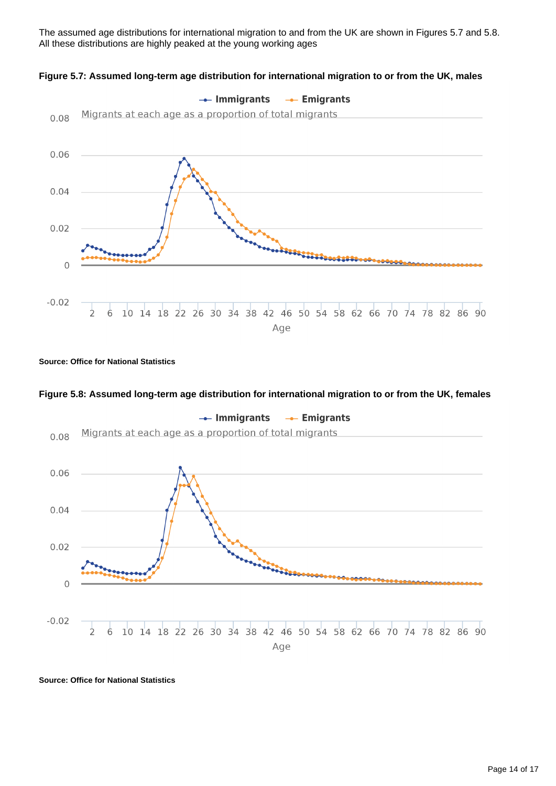The assumed age distributions for international migration to and from the UK are shown in Figures 5.7 and 5.8. All these distributions are highly peaked at the young working ages





#### **Source: Office for National Statistics**

#### **Figure 5.8: Assumed long-term age distribution for international migration to or from the UK, females**



**Source: Office for National Statistics**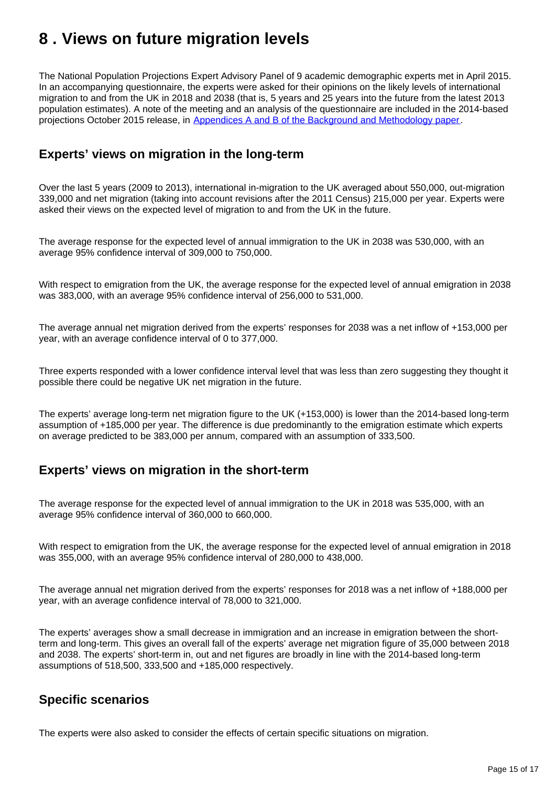## <span id="page-14-0"></span>**8 . Views on future migration levels**

The National Population Projections Expert Advisory Panel of 9 academic demographic experts met in April 2015. In an accompanying questionnaire, the experts were asked for their opinions on the likely levels of international migration to and from the UK in 2018 and 2038 (that is, 5 years and 25 years into the future from the latest 2013 population estimates). A note of the meeting and an analysis of the questionnaire are included in the 2014-based projections October 2015 release, in [Appendices A and B of the Background and Methodology paper](http://www.ons.gov.uk/peoplepopulationandcommunity/populationandmigration/populationprojections/compendium/nationalpopulationprojections/2015-10-29/backgroundandmethodology#toc).

### **Experts' views on migration in the long-term**

Over the last 5 years (2009 to 2013), international in-migration to the UK averaged about 550,000, out-migration 339,000 and net migration (taking into account revisions after the 2011 Census) 215,000 per year. Experts were asked their views on the expected level of migration to and from the UK in the future.

The average response for the expected level of annual immigration to the UK in 2038 was 530,000, with an average 95% confidence interval of 309,000 to 750,000.

With respect to emigration from the UK, the average response for the expected level of annual emigration in 2038 was 383,000, with an average 95% confidence interval of 256,000 to 531,000.

The average annual net migration derived from the experts' responses for 2038 was a net inflow of +153,000 per year, with an average confidence interval of 0 to 377,000.

Three experts responded with a lower confidence interval level that was less than zero suggesting they thought it possible there could be negative UK net migration in the future.

The experts' average long-term net migration figure to the UK (+153,000) is lower than the 2014-based long-term assumption of +185,000 per year. The difference is due predominantly to the emigration estimate which experts on average predicted to be 383,000 per annum, compared with an assumption of 333,500.

### **Experts' views on migration in the short-term**

The average response for the expected level of annual immigration to the UK in 2018 was 535,000, with an average 95% confidence interval of 360,000 to 660,000.

With respect to emigration from the UK, the average response for the expected level of annual emigration in 2018 was 355,000, with an average 95% confidence interval of 280,000 to 438,000.

The average annual net migration derived from the experts' responses for 2018 was a net inflow of +188,000 per year, with an average confidence interval of 78,000 to 321,000.

The experts' averages show a small decrease in immigration and an increase in emigration between the shortterm and long-term. This gives an overall fall of the experts' average net migration figure of 35,000 between 2018 and 2038. The experts' short-term in, out and net figures are broadly in line with the 2014-based long-term assumptions of 518,500, 333,500 and +185,000 respectively.

### **Specific scenarios**

The experts were also asked to consider the effects of certain specific situations on migration.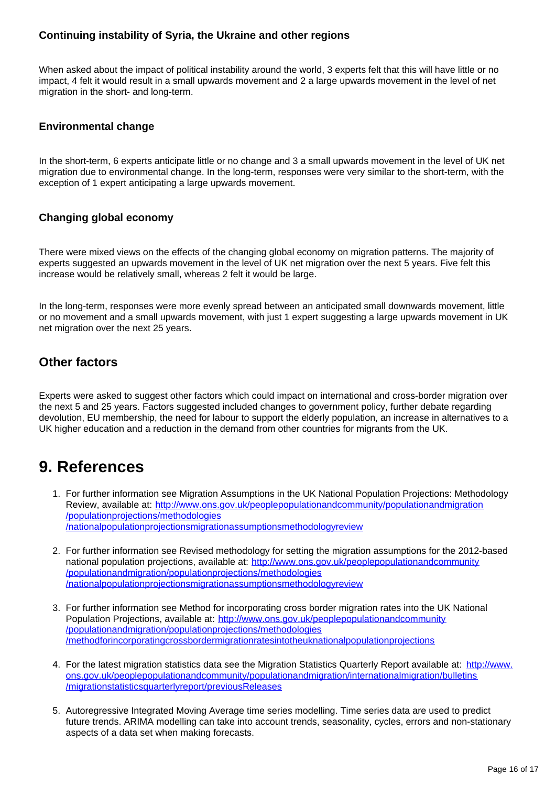#### **Continuing instability of Syria, the Ukraine and other regions**

When asked about the impact of political instability around the world, 3 experts felt that this will have little or no impact, 4 felt it would result in a small upwards movement and 2 a large upwards movement in the level of net migration in the short- and long-term.

#### **Environmental change**

In the short-term, 6 experts anticipate little or no change and 3 a small upwards movement in the level of UK net migration due to environmental change. In the long-term, responses were very similar to the short-term, with the exception of 1 expert anticipating a large upwards movement.

#### **Changing global economy**

There were mixed views on the effects of the changing global economy on migration patterns. The majority of experts suggested an upwards movement in the level of UK net migration over the next 5 years. Five felt this increase would be relatively small, whereas 2 felt it would be large.

In the long-term, responses were more evenly spread between an anticipated small downwards movement, little or no movement and a small upwards movement, with just 1 expert suggesting a large upwards movement in UK net migration over the next 25 years.

### **Other factors**

Experts were asked to suggest other factors which could impact on international and cross-border migration over the next 5 and 25 years. Factors suggested included changes to government policy, further debate regarding devolution, EU membership, the need for labour to support the elderly population, an increase in alternatives to a UK higher education and a reduction in the demand from other countries for migrants from the UK.

## **9. References**

- 1. For further information see Migration Assumptions in the UK National Population Projections: Methodology Review, available at: [http://www.ons.gov.uk/peoplepopulationandcommunity/populationandmigration](http://www.ons.gov.uk/peoplepopulationandcommunity/populationandmigration/populationprojections/methodologies/nationalpopulationprojectionsmigrationassumptionsmethodologyreview) [/populationprojections/methodologies](http://www.ons.gov.uk/peoplepopulationandcommunity/populationandmigration/populationprojections/methodologies/nationalpopulationprojectionsmigrationassumptionsmethodologyreview) [/nationalpopulationprojectionsmigrationassumptionsmethodologyreview](http://www.ons.gov.uk/peoplepopulationandcommunity/populationandmigration/populationprojections/methodologies/nationalpopulationprojectionsmigrationassumptionsmethodologyreview)
- 2. For further information see Revised methodology for setting the migration assumptions for the 2012-based national population projections, available at: [http://www.ons.gov.uk/peoplepopulationandcommunity](http://www.ons.gov.uk/peoplepopulationandcommunity/populationandmigration/populationprojections/methodologies/nationalpopulationprojectionsmigrationassumptionsmethodologyreview) [/populationandmigration/populationprojections/methodologies](http://www.ons.gov.uk/peoplepopulationandcommunity/populationandmigration/populationprojections/methodologies/nationalpopulationprojectionsmigrationassumptionsmethodologyreview) [/nationalpopulationprojectionsmigrationassumptionsmethodologyreview](http://www.ons.gov.uk/peoplepopulationandcommunity/populationandmigration/populationprojections/methodologies/nationalpopulationprojectionsmigrationassumptionsmethodologyreview)
- 3. For further information see Method for incorporating cross border migration rates into the UK National Population Projections, available at: [http://www.ons.gov.uk/peoplepopulationandcommunity](http://www.ons.gov.uk/peoplepopulationandcommunity/populationandmigration/populationprojections/methodologies/methodforincorporatingcrossbordermigrationratesintotheuknationalpopulationprojections) [/populationandmigration/populationprojections/methodologies](http://www.ons.gov.uk/peoplepopulationandcommunity/populationandmigration/populationprojections/methodologies/methodforincorporatingcrossbordermigrationratesintotheuknationalpopulationprojections) [/methodforincorporatingcrossbordermigrationratesintotheuknationalpopulationprojections](http://www.ons.gov.uk/peoplepopulationandcommunity/populationandmigration/populationprojections/methodologies/methodforincorporatingcrossbordermigrationratesintotheuknationalpopulationprojections)
- 4. For the latest migration statistics data see the Migration Statistics Quarterly Report available at: [http://www.](http://www.ons.gov.uk/peoplepopulationandcommunity/populationandmigration/internationalmigration/bulletins/migrationstatisticsquarterlyreport/previousReleases) [ons.gov.uk/peoplepopulationandcommunity/populationandmigration/internationalmigration/bulletins](http://www.ons.gov.uk/peoplepopulationandcommunity/populationandmigration/internationalmigration/bulletins/migrationstatisticsquarterlyreport/previousReleases) [/migrationstatisticsquarterlyreport/previousReleases](http://www.ons.gov.uk/peoplepopulationandcommunity/populationandmigration/internationalmigration/bulletins/migrationstatisticsquarterlyreport/previousReleases)
- 5. Autoregressive Integrated Moving Average time series modelling. Time series data are used to predict future trends. ARIMA modelling can take into account trends, seasonality, cycles, errors and non-stationary aspects of a data set when making forecasts.